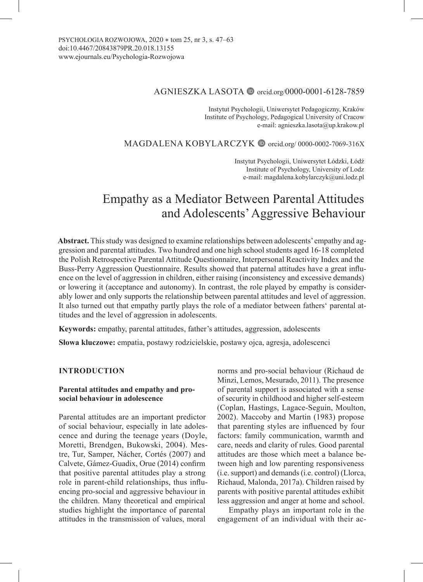# AGNIESZKA LASOTA in orcid.org/0000-0001-6128-7859

Instytut Psychologii, Uniwersytet Pedagogiczny, Kraków Institute of Psychology, Pedagogical University of Cracow e-mail: agnieszka.lasota@up.krakow.pl

MAGDALENA KOBYLARCZYK in orcid.org/0000-0002-7069-316X

Instytut Psychologii, Uniwersytet Łódzki, Łódź Institute of Psychology, University of Lodz e-mail: magdalena.kobylarczyk@uni.lodz.pl

# Empathy as a Mediator Between Parental Attitudes and Adolescents' Aggressive Behaviour

**Abstract.** This study was designed to examine relationships between adolescents' empathy and aggression and parental attitudes. Two hundred and one high school students aged 16-18 completed the Polish Retrospective Parental Attitude Questionnaire, Interpersonal Reactivity Index and the Buss-Perry Aggression Questionnaire. Results showed that paternal attitudes have a great influence on the level of aggression in children, either raising (inconsistency and excessive demands) or lowering it (acceptance and autonomy). In contrast, the role played by empathy is considerably lower and only supports the relationship between parental attitudes and level of aggression. It also turned out that empathy partly plays the role of a mediator between fathers' parental attitudes and the level of aggression in adolescents.

**Keywords:** empathy, parental attitudes, father's attitudes, aggression, adolescents

**Słowa kluczowe:** empatia, postawy rodzicielskie, postawy ojca, agresja, adolescenci

# **INTRODUCTION**

## **Parental attitudes and empathy and prosocial behaviour in adolescence**

Parental attitudes are an important predictor of social behaviour, especially in late adolescence and during the teenage years (Doyle, Moretti, Brendgen, Bukowski, 2004). Mestre, Tur, Samper, Nácher, Cortés (2007) and Calvete, Gámez-Guadix, Orue (2014) confirm that positive parental attitudes play a strong role in parent-child relationships, thus influencing pro-social and aggressive behaviour in the children. Many theoretical and empirical studies highlight the importance of parental attitudes in the transmission of values, moral

norms and pro-social behaviour (Richaud de Minzi, Lemos, Mesurado, 2011). The presence of parental support is associated with a sense of security in childhood and higher self-esteem (Coplan, Hastings, Lagace-Seguin, Moulton, 2002). Maccoby and Martin (1983) propose that parenting styles are influenced by four factors: family communication, warmth and care, needs and clarity of rules. Good parental attitudes are those which meet a balance between high and low parenting responsiveness (i.e. support) and demands (i.e. control) (Llorca, Richaud, Malonda, 2017a). Children raised by parents with positive parental attitudes exhibit less aggression and anger at home and school.

Empathy plays an important role in the engagement of an individual with their ac-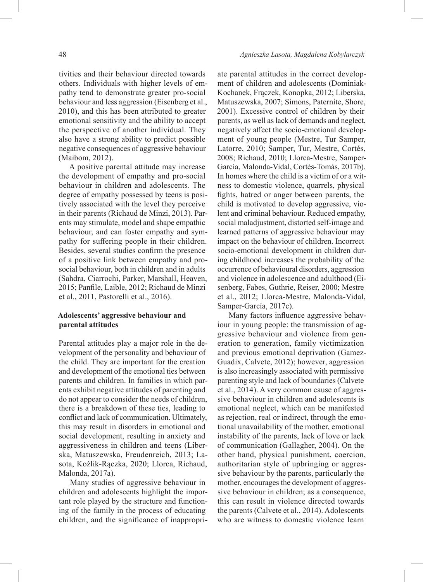tivities and their behaviour directed towards others. Individuals with higher levels of empathy tend to demonstrate greater pro-social behaviour and less aggression (Eisenberg et al., 2010), and this has been attributed to greater emotional sensitivity and the ability to accept the perspective of another individual. They also have a strong ability to predict possible negative consequences of aggressive behaviour (Maibom, 2012).

A positive parental attitude may increase the development of empathy and pro-social behaviour in children and adolescents. The degree of empathy possessed by teens is positively associated with the level they perceive in their parents (Richaud de Minzi, 2013). Parents may stimulate, model and shape empathic behaviour, and can foster empathy and sympathy for suffering people in their children. Besides, several studies confirm the presence of a positive link between empathy and prosocial behaviour, both in children and in adults (Sahdra, Ciarrochi, Parker, Marshall, Heaven, 2015; Panfile, Laible, 2012; Richaud de Minzi et al., 2011, Pastorelli et al., 2016).

## **Adolescents' aggressive behaviour and parental attitudes**

Parental attitudes play a major role in the development of the personality and behaviour of the child. They are important for the creation and development of the emotional ties between parents and children. In families in which parents exhibit negative attitudes of parenting and do not appear to consider the needs of children, there is a breakdown of these ties, leading to conflict and lack of communication. Ultimately, this may result in disorders in emotional and social development, resulting in anxiety and aggressiveness in children and teens (Liberska, Matuszewska, Freudenreich, 2013; Lasota, Koźlik-Rączka, 2020; Llorca, Richaud, Malonda, 2017a).

Many studies of aggressive behaviour in children and adolescents highlight the important role played by the structure and functioning of the family in the process of educating children, and the significance of inappropriate parental attitudes in the correct development of children and adolescents (Dominiak-Kochanek, Frączek, Konopka, 2012; Liberska, Matuszewska, 2007; Simons, Paternite, Shore, 2001). Excessive control of children by their parents, as well as lack of demands and neglect, negatively affect the socio-emotional development of young people (Mestre, Tur Samper, Latorre, 2010; Samper, Tur, Mestre, Cortés, 2008; Richaud, 2010; Llorca-Mestre, Samper-García, Malonda-Vidal, Cortés-Tomás, 2017b). In homes where the child is a victim of or a witness to domestic violence, quarrels, physical fights, hatred or anger between parents, the child is motivated to develop aggressive, violent and criminal behaviour. Reduced empathy, social maladjustment, distorted self-image and learned patterns of aggressive behaviour may impact on the behaviour of children. Incorrect socio-emotional development in children during childhood increases the probability of the occurrence of behavioural disorders, aggression and violence in adolescence and adulthood (Eisenberg, Fabes, Guthrie, Reiser, 2000; Mestre et al., 2012; Llorca-Mestre, Malonda-Vidal, Samper-García, 2017c).

Many factors influence aggressive behaviour in young people: the transmission of aggressive behaviour and violence from generation to generation, family victimization and previous emotional deprivation (Gamez-Guadix, Calvete, 2012); however, aggression is also increasingly associated with permissive parenting style and lack of boundaries (Calvete et al., 2014). A very common cause of aggressive behaviour in children and adolescents is emotional neglect, which can be manifested as rejection, real or indirect, through the emotional unavailability of the mother, emotional instability of the parents, lack of love or lack of communication (Gallagher, 2004). On the other hand, physical punishment, coercion, authoritarian style of upbringing or aggressive behaviour by the parents, particularly the mother, encourages the development of aggressive behaviour in children; as a consequence, this can result in violence directed towards the parents (Calvete et al., 2014). Adolescents who are witness to domestic violence learn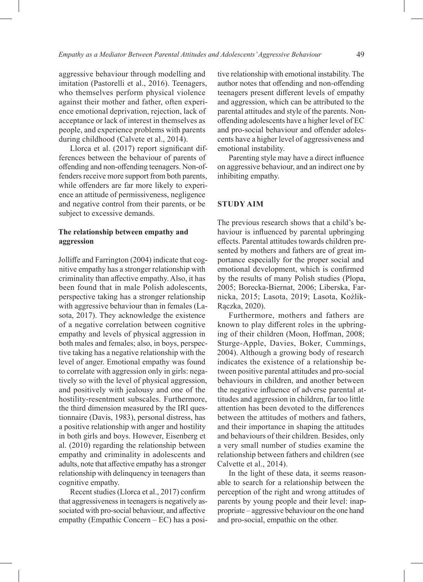aggressive behaviour through modelling and imitation (Pastorelli et al., 2016). Teenagers, who themselves perform physical violence against their mother and father, often experience emotional deprivation, rejection, lack of acceptance or lack of interest in themselves as people, and experience problems with parents during childhood (Calvete et al., 2014).

Llorca et al. (2017) report significant differences between the behaviour of parents of offending and non-offending teenagers. Non-offenders receive more support from both parents, while offenders are far more likely to experience an attitude of permissiveness, negligence and negative control from their parents, or be subject to excessive demands.

# **The relationship between empathy and aggression**

Jolliffe and Farrington (2004) indicate that cognitive empathy has a stronger relationship with criminality than affective empathy. Also, it has been found that in male Polish adolescents, perspective taking has a stronger relationship with aggressive behaviour than in females (Lasota, 2017). They acknowledge the existence of a negative correlation between cognitive empathy and levels of physical aggression in both males and females; also, in boys, perspective taking has a negative relationship with the level of anger. Emotional empathy was found to correlate with aggression only in girls: negatively so with the level of physical aggression, and positively with jealousy and one of the hostility-resentment subscales. Furthermore, the third dimension measured by the IRI questionnaire (Davis, 1983), personal distress, has a positive relationship with anger and hostility in both girls and boys. However, Eisenberg et al. (2010) regarding the relationship between empathy and criminality in adolescents and adults, note that affective empathy has a stronger relationship with delinquency in teenagers than cognitive empathy.

Recent studies (Llorca et al., 2017) confirm that aggressiveness in teenagers is negatively associated with pro-social behaviour, and affective empathy (Empathic Concern – EC) has a positive relationship with emotional instability. The author notes that offending and non-offending teenagers present different levels of empathy and aggression, which can be attributed to the parental attitudes and style of the parents. Nonoffending adolescents have a higher level of EC and pro-social behaviour and offender adolescents have a higher level of aggressiveness and emotional instability.

Parenting style may have a direct influence on aggressive behaviour, and an indirect one by inhibiting empathy.

## **STUDY AIM**

The previous research shows that a child's behaviour is influenced by parental upbringing effects. Parental attitudes towards children presented by mothers and fathers are of great importance especially for the proper social and emotional development, which is confirmed by the results of many Polish studies (Plopa, 2005; Borecka-Biernat, 2006; Liberska, Farnicka, 2015; Lasota, 2019; Lasota, Koźlik-Rączka, 2020).

Furthermore, mothers and fathers are known to play different roles in the upbringing of their children (Moon, Hoffman, 2008; Sturge-Apple, Davies, Boker, Cummings, 2004). Although a growing body of research indicates the existence of a relationship between positive parental attitudes and pro-social behaviours in children, and another between the negative influence of adverse parental attitudes and aggression in children, far too little attention has been devoted to the differences between the attitudes of mothers and fathers, and their importance in shaping the attitudes and behaviours of their children. Besides, only a very small number of studies examine the relationship between fathers and children (see Calvette et al., 2014).

In the light of these data, it seems reasonable to search for a relationship between the perception of the right and wrong attitudes of parents by young people and their level: inappropriate – aggressive behaviour on the one hand and pro-social, empathic on the other.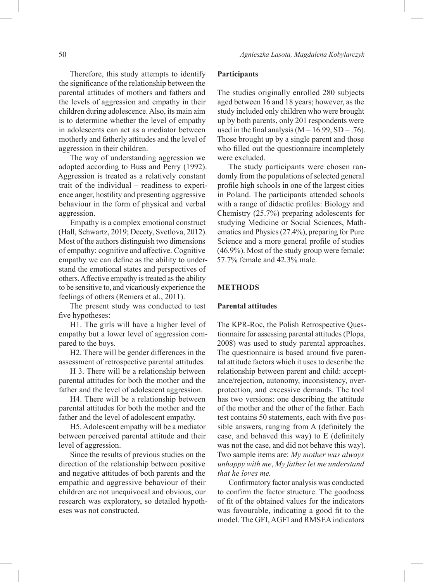Therefore, this study attempts to identify the significance of the relationship between the parental attitudes of mothers and fathers and the levels of aggression and empathy in their children during adolescence. Also, its main aim is to determine whether the level of empathy in adolescents can act as a mediator between motherly and fatherly attitudes and the level of aggression in their children.

The way of understanding aggression we adopted according to Buss and Perry (1992). Aggression is treated as a relatively constant trait of the individual – readiness to experience anger, hostility and presenting aggressive behaviour in the form of physical and verbal aggression.

Empathy is a complex emotional construct (Hall, Schwartz, 2019; Decety, Svetlova, 2012). Most of the authors distinguish two dimensions of empathy: cognitive and affective. Cognitive empathy we can define as the ability to understand the emotional states and perspectives of others. Affective empathy is treated as the ability to be sensitive to, and vicariously experience the feelings of others (Reniers et al., 2011).

The present study was conducted to test five hypotheses:

H1. The girls will have a higher level of empathy but a lower level of aggression compared to the boys.

H2. There will be gender differences in the assessment of retrospective parental attitudes.

H 3. There will be a relationship between parental attitudes for both the mother and the father and the level of adolescent aggression.

H4. There will be a relationship between parental attitudes for both the mother and the father and the level of adolescent empathy.

H5. Adolescent empathy will be a mediator between perceived parental attitude and their level of aggression.

Since the results of previous studies on the direction of the relationship between positive and negative attitudes of both parents and the empathic and aggressive behaviour of their children are not unequivocal and obvious, our research was exploratory, so detailed hypotheses was not constructed.

#### **Participants**

The studies originally enrolled 280 subjects aged between 16 and 18 years; however, as the study included only children who were brought up by both parents, only 201 respondents were used in the final analysis ( $M = 16.99$ , SD = .76). Those brought up by a single parent and those who filled out the questionnaire incompletely were excluded.

The study participants were chosen randomly from the populations of selected general profile high schools in one of the largest cities in Poland. The participants attended schools with a range of didactic profiles: Biology and Chemistry (25.7%) preparing adolescents for studying Medicine or Social Sciences, Mathematics and Physics (27.4%), preparing for Pure Science and a more general profile of studies (46.9%). Most of the study group were female: 57.7% female and 42.3% male.

## **METHODS**

#### **Parental attitudes**

The KPR-Roc, the Polish Retrospective Questionnaire for assessing parental attitudes (Plopa, 2008) was used to study parental approaches. The questionnaire is based around five parental attitude factors which it uses to describe the relationship between parent and child: acceptance/rejection, autonomy, inconsistency, overprotection, and excessive demands. The tool has two versions: one describing the attitude of the mother and the other of the father. Each test contains 50 statements, each with five possible answers, ranging from A (definitely the case, and behaved this way) to E (definitely was not the case, and did not behave this way). Two sample items are: *My mother was always unhappy with me*, *My father let me understand that he loves me.*

Confirmatory factor analysis was conducted to confirm the factor structure. The goodness of fit of the obtained values for the indicators was favourable, indicating a good fit to the model. The GFI, AGFI and RMSEA indicators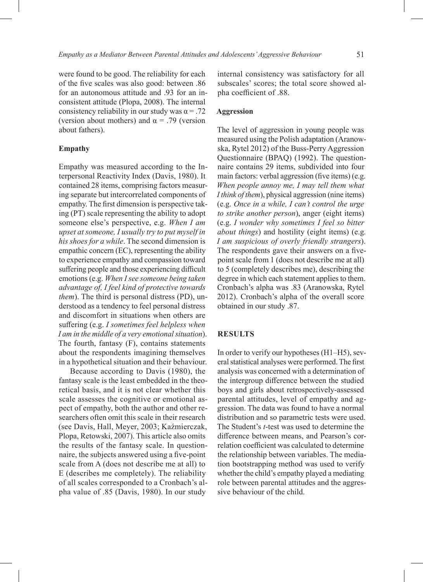were found to be good. The reliability for each of the five scales was also good: between .86 for an autonomous attitude and .93 for an inconsistent attitude (Plopa, 2008). The internal consistency reliability in our study was  $\alpha = .72$ (version about mothers) and  $\alpha = .79$  (version about fathers).

#### **Empathy**

Empathy was measured according to the Interpersonal Reactivity Index (Davis, 1980). It contained 28 items, comprising factors measuring separate but intercorrelated components of empathy. The first dimension is perspective taking (PT) scale representing the ability to adopt someone else's perspective, e.g. *When I am upset at someone, I usually try to put myself in his shoes for a while*. The second dimension is empathic concern (EC), representing the ability to experience empathy and compassion toward suffering people and those experiencing difficult emotions (e.g. *When I see someone being taken advantage of, I feel kind of protective towards them*). The third is personal distress (PD), understood as a tendency to feel personal distress and discomfort in situations when others are suffering (e.g. *I sometimes feel helpless when I am in the middle of a very emotional situation*). The fourth, fantasy (F), contains statements about the respondents imagining themselves in a hypothetical situation and their behaviour.

Because according to Davis (1980), the fantasy scale is the least embedded in the theoretical basis, and it is not clear whether this scale assesses the cognitive or emotional aspect of empathy, both the author and other researchers often omit this scale in their research (see Davis, Hall, Meyer, 2003; Kaźmierczak, Plopa, Retowski, 2007). This article also omits the results of the fantasy scale. In questionnaire, the subjects answered using a five-point scale from A (does not describe me at all) to E (describes me completely). The reliability of all scales corresponded to a Cronbach's alpha value of .85 (Davis, 1980). In our study

internal consistency was satisfactory for all subscales' scores; the total score showed alpha coefficient of .88.

## **Aggression**

The level of aggression in young people was measured using the Polish adaptation (Aranowska, Rytel 2012) of the Buss-Perry Aggression Questionnaire (BPAQ) (1992). The questionnaire contains 29 items, subdivided into four main factors: verbal aggression (five items) (e.g. *When people annoy me, I may tell them what I think of them*), physical aggression (nine items) (e.g. *Once in a while, I can't control the urge to strike another person*), anger (eight items) (e.g. *I wonder why sometimes I feel so bitter about things*) and hostility (eight items) (e.g*. I am suspicious of overly friendly strangers*). The respondents gave their answers on a fivepoint scale from 1 (does not describe me at all) to 5 (completely describes me), describing the degree in which each statement applies to them. Cronbach's alpha was .83 (Aranowska, Rytel 2012). Cronbach's alpha of the overall score obtained in our study .87.

#### **RESULTS**

In order to verify our hypotheses (H1–H5), several statistical analyses were performed. The first analysis was concerned with a determination of the intergroup difference between the studied boys and girls about retrospectively-assessed parental attitudes, level of empathy and aggression. The data was found to have a normal distribution and so parametric tests were used. The Student's *t*-test was used to determine the difference between means, and Pearson's correlation coefficient was calculated to determine the relationship between variables. The mediation bootstrapping method was used to verify whether the child's empathy played a mediating role between parental attitudes and the aggressive behaviour of the child.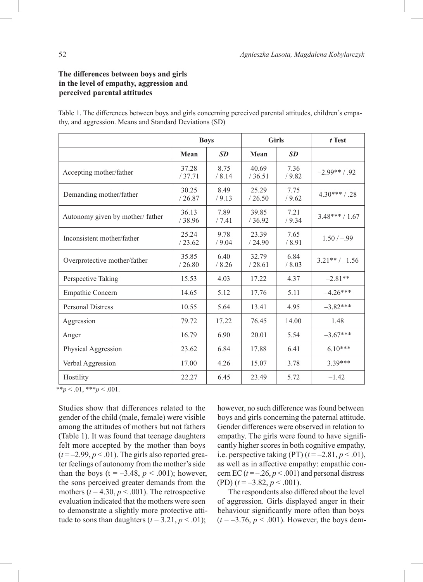# **The differences between boys and girls in the level of empathy, aggression and perceived parental attitudes**

Table 1. The differences between boys and girls concerning perceived parental attitudes, children's empathy, and aggression. Means and Standard Deviations (SD)

|                                 | <b>Boys</b>     |               |                 | <b>Girls</b>   | $t$ Test        |
|---------------------------------|-----------------|---------------|-----------------|----------------|-----------------|
|                                 | Mean            | <b>SD</b>     | Mean            | <b>SD</b>      |                 |
| Accepting mother/father         | 37.28<br>/37.71 | 8.75<br>/8.14 | 40.69<br>/36.51 | 7.36<br>/9.82  | $-2.99**/92$    |
| Demanding mother/father         | 30.25<br>/26.87 | 8.49<br>/9.13 | 25.29<br>/26.50 | 7.75<br>/9.62  | $4.30***/0.28$  |
| Autonomy given by mother/father | 36.13<br>/38.96 | 7.89<br>/7.41 | 39.85<br>/36.92 | 7.21<br>/9.34  | $-3.48***/1.67$ |
| Inconsistent mother/father      | 25.24<br>/23.62 | 9.78<br>/9.04 | 23.39<br>/24.90 | 7.65<br>/8.91  | $1.50/-99$      |
| Overprotective mother/father    | 35.85<br>/26.80 | 6.40<br>/8.26 | 32.79<br>/28.61 | 6.84<br>/ 8.03 | $3.21**/-1.56$  |
| Perspective Taking              | 15.53           | 4.03          | 17.22           | 4.37           | $-2.81**$       |
| Empathic Concern                | 14.65           | 5.12          | 17.76           | 5.11           | $-4.26***$      |
| <b>Personal Distress</b>        | 10.55           | 5.64          | 13.41           | 4.95           | $-3.82***$      |
| Aggression                      | 79.72           | 17.22         | 76.45           | 14.00          | 1.48            |
| Anger                           | 16.79           | 6.90          | 20.01           | 5.54           | $-3.67***$      |
| Physical Aggression             | 23.62           | 6.84          | 17.88           | 6.41           | $6.10***$       |
| Verbal Aggression               | 17.00           | 4.26          | 15.07           | 3.78           | 3.39***         |
| Hostility                       | 22.27           | 6.45          | 23.49           | 5.72           | $-1.42$         |

 $**p < .01, **p < .001.$ 

Studies show that differences related to the gender of the child (male, female) were visible among the attitudes of mothers but not fathers (Table 1). It was found that teenage daughters felt more accepted by the mother than boys  $(t = -2.99, p < .01)$ . The girls also reported greater feelings of autonomy from the mother's side than the boys ( $t = -3.48$ ,  $p < .001$ ); however, the sons perceived greater demands from the mothers  $(t = 4.30, p < .001)$ . The retrospective evaluation indicated that the mothers were seen to demonstrate a slightly more protective attitude to sons than daughters  $(t = 3.21, p < .01)$ ;

however, no such difference was found between boys and girls concerning the paternal attitude. Gender differences were observed in relation to empathy. The girls were found to have significantly higher scores in both cognitive empathy, i.e. perspective taking  $(PT)$   $(t = -2.81, p < .01)$ , as well as in affective empathy: empathic concern EC  $(t = -0.26, p < 0.001)$  and personal distress (PD)  $(t = -3.82, p < .001)$ .

The respondents also differed about the level of aggression. Girls displayed anger in their behaviour significantly more often than boys  $(t = -3.76, p < .001)$ . However, the boys dem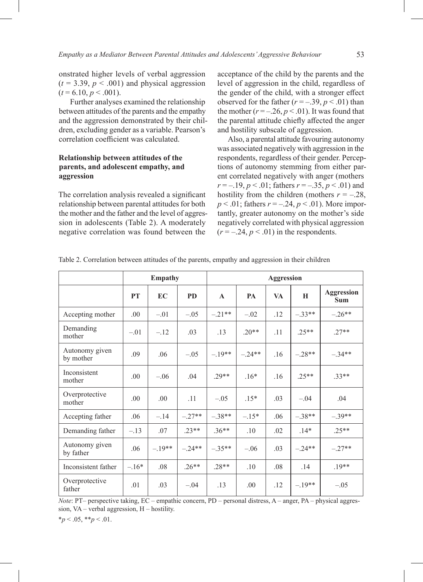onstrated higher levels of verbal aggression  $(t = 3.39, p < .001)$  and physical aggression  $(t = 6.10, p \le 0.001)$ .

Further analyses examined the relationship between attitudes of the parents and the empathy and the aggression demonstrated by their children, excluding gender as a variable. Pearson's correlation coefficient was calculated.

# **Relationship between attitudes of the parents, and adolescent empathy, and aggression**

The correlation analysis revealed a significant relationship between parental attitudes for both the mother and the father and the level of aggression in adolescents (Table 2). A moderately negative correlation was found between the

acceptance of the child by the parents and the level of aggression in the child, regardless of the gender of the child, with a stronger effect observed for the father  $(r = -.39, p < .01)$  than the mother  $(r = -0.26, p < 0.01)$ . It was found that the parental attitude chiefly affected the anger and hostility subscale of aggression.

Also, a parental attitude favouring autonomy was associated negatively with aggression in the respondents, regardless of their gender. Perceptions of autonomy stemming from either parent correlated negatively with anger (mothers *r* = –.19, *p* < .01; fathers *r* = –.35, *p* < .01) and hostility from the children (mothers  $r = -.28$ , *p* < .01; fathers *r* = –.24, *p* < .01). More importantly, greater autonomy on the mother's side negatively correlated with physical aggression  $(r = -.24, p < .01)$  in the respondents.

|                             | <b>Empathy</b> |          |           | <b>Aggression</b> |           |           |          |                                 |  |
|-----------------------------|----------------|----------|-----------|-------------------|-----------|-----------|----------|---------------------------------|--|
|                             | <b>PT</b>      | EC       | <b>PD</b> | $\mathbf{A}$      | <b>PA</b> | <b>VA</b> | H        | <b>Aggression</b><br><b>Sum</b> |  |
| Accepting mother            | .00            | $-.01$   | $-.05$    | $-.21**$          | $-.02$    | .12       | $-.33**$ | $-.26**$                        |  |
| Demanding<br>mother         | $-.01$         | $-.12$   | .03       | .13               | $.20**$   | .11       | $.25**$  | $.27**$                         |  |
| Autonomy given<br>by mother | .09            | .06      | $-.05$    | $-.19**$          | $-.24**$  | .16       | $-.28**$ | $-.34**$                        |  |
| Inconsistent<br>mother      | .00.           | $-.06$   | .04       | $29**$            | $.16*$    | .16       | $.25**$  | $.33**$                         |  |
| Overprotective<br>mother    | .00            | .00      | .11       | $-.05$            | $.15*$    | .03       | $-.04$   | .04                             |  |
| Accepting father            | .06            | $-.14$   | $-.27**$  | $-.38**$          | $-.15*$   | .06       | $-.38**$ | $-.39**$                        |  |
| Demanding father            | $-.13$         | .07      | $.23**$   | $.36**$           | .10       | .02       | $.14*$   | $.25**$                         |  |
| Autonomy given<br>by father | .06            | $-.19**$ | $-.24**$  | $-.35**$          | $-.06$    | .03       | $-.24**$ | $-.27**$                        |  |
| Inconsistent father         | $-.16*$        | .08      | $.26**$   | $.28**$           | .10       | .08       | .14      | $.19**$                         |  |
| Overprotective<br>father    | .01            | .03      | $-.04$    | .13               | .00.      | .12       | $-.19**$ | $-.05$                          |  |

Table 2. Correlation between attitudes of the parents, empathy and aggression in their children

*Note*: PT– perspective taking, EC – empathic concern, PD – personal distress, A – anger, PA – physical aggression, VA – verbal aggression, H – hostility.

\**p* < .05, \*\**p* < .01.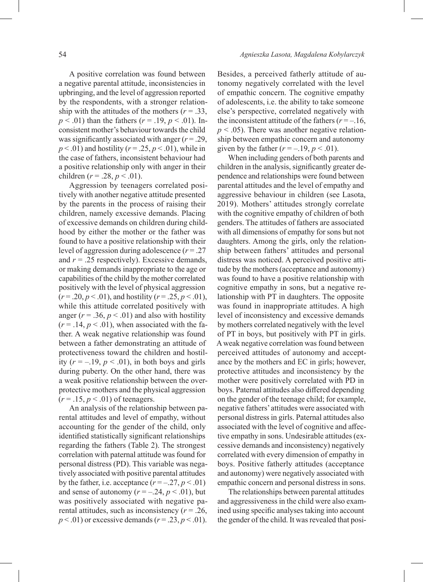A positive correlation was found between a negative parental attitude, inconsistencies in upbringing, and the level of aggression reported by the respondents, with a stronger relationship with the attitudes of the mothers ( $r = .33$ , *p* < .01) than the fathers (*r* = .19, *p* < .01). Inconsistent mother's behaviour towards the child was significantly associated with anger (*r* = .29, *p* < .01) and hostility (*r* = .25, *p* < .01), while in the case of fathers, inconsistent behaviour had a positive relationship only with anger in their children ( $r = .28$ ,  $p < .01$ ).

Aggression by teenagers correlated positively with another negative attitude presented by the parents in the process of raising their children, namely excessive demands. Placing of excessive demands on children during childhood by either the mother or the father was found to have a positive relationship with their level of aggression during adolescence (*r* = .27 and  $r = .25$  respectively). Excessive demands, or making demands inappropriate to the age or capabilities of the child by the mother correlated positively with the level of physical aggression  $(r = .20, p < .01)$ , and hostility  $(r = .25, p < .01)$ , while this attitude correlated positively with anger ( $r = .36$ ,  $p < .01$ ) and also with hostility  $(r = .14, p < .01)$ , when associated with the father. A weak negative relationship was found between a father demonstrating an attitude of protectiveness toward the children and hostility  $(r = -.19, p < .01)$ , in both boys and girls during puberty. On the other hand, there was a weak positive relationship between the overprotective mothers and the physical aggression  $(r = .15, p < .01)$  of teenagers.

An analysis of the relationship between parental attitudes and level of empathy, without accounting for the gender of the child, only identified statistically significant relationships regarding the fathers (Table 2). The strongest correlation with paternal attitude was found for personal distress (PD). This variable was negatively associated with positive parental attitudes by the father, i.e. acceptance  $(r = -.27, p < .01)$ and sense of autonomy  $(r = -.24, p < .01)$ , but was positively associated with negative parental attitudes, such as inconsistency (*r* = .26,  $p < .01$ ) or excessive demands ( $r = .23$ ,  $p < .01$ ).

Besides, a perceived fatherly attitude of autonomy negatively correlated with the level of empathic concern. The cognitive empathy of adolescents, i.e. the ability to take someone else's perspective, correlated negatively with the inconsistent attitude of the fathers  $(r = -16)$ ,  $p < .05$ ). There was another negative relationship between empathic concern and autonomy given by the father  $(r = -.19, p < .01)$ .

When including genders of both parents and children in the analysis, significantly greater dependence and relationships were found between parental attitudes and the level of empathy and aggressive behaviour in children (see Lasota, 2019). Mothers' attitudes strongly correlate with the cognitive empathy of children of both genders. The attitudes of fathers are associated with all dimensions of empathy for sons but not daughters. Among the girls, only the relationship between fathers' attitudes and personal distress was noticed. A perceived positive attitude by the mothers (acceptance and autonomy) was found to have a positive relationship with cognitive empathy in sons, but a negative relationship with PT in daughters. The opposite was found in inappropriate attitudes. A high level of inconsistency and excessive demands by mothers correlated negatively with the level of PT in boys, but positively with PT in girls. Aweak negative correlation was found between perceived attitudes of autonomy and acceptance by the mothers and EC in girls; however, protective attitudes and inconsistency by the mother were positively correlated with PD in boys. Paternal attitudes also differed depending on the gender of the teenage child; for example, negative fathers' attitudes were associated with personal distress in girls. Paternal attitudes also associated with the level of cognitive and affective empathy in sons. Undesirable attitudes (excessive demands and inconsistency) negatively correlated with every dimension of empathy in boys. Positive fatherly attitudes (acceptance and autonomy) were negatively associated with empathic concern and personal distress in sons.

The relationships between parental attitudes and aggressiveness in the child were also examined using specific analyses taking into account the gender of the child. It was revealed that posi-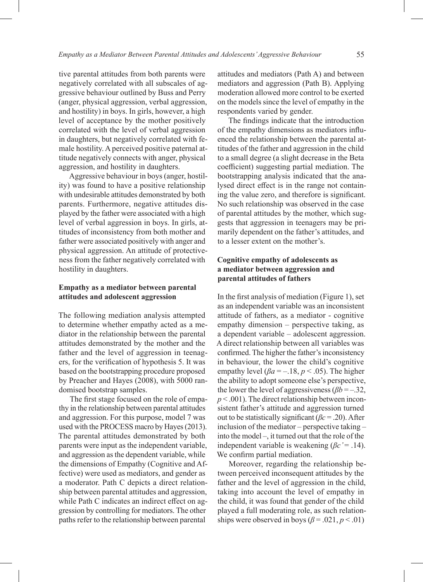tive parental attitudes from both parents were negatively correlated with all subscales of aggressive behaviour outlined by Buss and Perry (anger, physical aggression, verbal aggression, and hostility) in boys. In girls, however, a high level of acceptance by the mother positively correlated with the level of verbal aggression in daughters, but negatively correlated with female hostility. A perceived positive paternal attitude negatively connects with anger, physical aggression, and hostility in daughters.

Aggressive behaviour in boys (anger, hostility) was found to have a positive relationship with undesirable attitudes demonstrated by both parents. Furthermore, negative attitudes displayed by the father were associated with a high level of verbal aggression in boys. In girls, attitudes of inconsistency from both mother and father were associated positively with anger and physical aggression. An attitude of protectiveness from the father negatively correlated with hostility in daughters.

# **Empathy as a mediator between parental attitudes and adolescent aggression**

The following mediation analysis attempted to determine whether empathy acted as a mediator in the relationship between the parental attitudes demonstrated by the mother and the father and the level of aggression in teenagers, for the verification of hypothesis 5. It was based on the bootstrapping procedure proposed by Preacher and Hayes (2008), with 5000 randomised bootstrap samples.

The first stage focused on the role of empathy in the relationship between parental attitudes and aggression. For this purpose, model 7 was used with the PROCESS macro by Hayes (2013). The parental attitudes demonstrated by both parents were input as the independent variable, and aggression as the dependent variable, while the dimensions of Empathy (Cognitive and Affective) were used as mediators, and gender as a moderator. Path C depicts a direct relationship between parental attitudes and aggression, while Path C indicates an indirect effect on aggression by controlling for mediators. The other paths refer to the relationship between parental

attitudes and mediators (Path A) and between mediators and aggression (Path B). Applying moderation allowed more control to be exerted on the models since the level of empathy in the respondents varied by gender.

The findings indicate that the introduction of the empathy dimensions as mediators influenced the relationship between the parental attitudes of the father and aggression in the child to a small degree (a slight decrease in the Beta coefficient) suggesting partial mediation. The bootstrapping analysis indicated that the analysed direct effect is in the range not containing the value zero, and therefore is significant. No such relationship was observed in the case of parental attitudes by the mother, which suggests that aggression in teenagers may be primarily dependent on the father's attitudes, and to a lesser extent on the mother's.

# **Cognitive empathy of adolescents as a mediator between aggression and parental attitudes of fathers**

In the first analysis of mediation (Figure 1), set as an independent variable was an inconsistent attitude of fathers, as a mediator - cognitive empathy dimension – perspective taking, as a dependent variable – adolescent aggression. A direct relationship between all variables was confirmed. The higher the father's inconsistency in behaviour, the lower the child's cognitive empathy level ( $\beta a = -18$ ,  $p < .05$ ). The higher the ability to adopt someone else's perspective, the lower the level of aggressiveness (*βb* = *–*.32,  $p < .001$ ). The direct relationship between inconsistent father's attitude and aggression turned out to be statistically significant (*βc* = .20). After inclusion of the mediator – perspective taking – into the model –, it turned out that the role of the independent variable is weakening  $(\beta c' = .14)$ . We confirm partial mediation.

Moreover, regarding the relationship between perceived inconsequent attitudes by the father and the level of aggression in the child, taking into account the level of empathy in the child, it was found that gender of the child played a full moderating role, as such relationships were observed in boys  $(\beta = .021, p < .01)$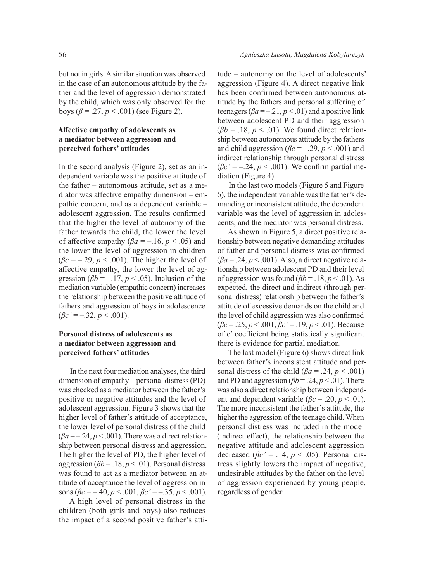but not in girls. Asimilar situation was observed in the case of an autonomous attitude by the father and the level of aggression demonstrated by the child, which was only observed for the boys ( $β = .27, p < .001$ ) (see Figure 2).

# **Affective empathy of adolescents as a mediator between aggression and perceived fathers' attitudes**

In the second analysis (Figure 2), set as an independent variable was the positive attitude of the father – autonomous attitude, set as a mediator was affective empathy dimension – empathic concern, and as a dependent variable – adolescent aggression. The results confirmed that the higher the level of autonomy of the father towards the child, the lower the level of affective empathy ( $\beta a = -16$ ,  $p < .05$ ) and the lower the level of aggression in children  $(\beta c = -0.29, p < 0.001)$ . The higher the level of affective empathy, the lower the level of aggression ( $\beta b = -17$ ,  $p < .05$ ). Inclusion of the mediation variable (empathic concern) increases the relationship between the positive attitude of fathers and aggression of boys in adolescence  $(\beta c' = -.32, p < .001).$ 

# **Personal distress of adolescents as a mediator between aggression and perceived fathers' attitudes**

In the next four mediation analyses, the third dimension of empathy – personal distress (PD) was checked as a mediator between the father's positive or negative attitudes and the level of adolescent aggression. Figure 3 shows that the higher level of father's attitude of acceptance, the lower level of personal distress of the child  $(\beta a = -0.24, p < 0.001)$ . There was a direct relationship between personal distress and aggression. The higher the level of PD, the higher level of aggression ( $\beta b = .18$ ,  $p < .01$ ). Personal distress was found to act as a mediator between an attitude of acceptance the level of aggression in sons (*βc* = –.40, *p* < .001, *βc'* = *–*.35, *p* < .001).

A high level of personal distress in the children (both girls and boys) also reduces the impact of a second positive father's attitude – autonomy on the level of adolescents' aggression (Figure 4). A direct negative link has been confirmed between autonomous attitude by the fathers and personal suffering of teenagers ( $\beta a = -21$ ,  $p < .01$ ) and a positive link between adolescent PD and their aggression  $(\beta b = .18, p < .01)$ . We found direct relationship between autonomous attitude by the fathers and child aggression ( $\beta c = -.29$ ,  $p < .001$ ) and indirect relationship through personal distress  $(\beta c' = -.24, p < .001)$ . We confirm partial mediation (Figure 4).

In the last two models (Figure 5 and Figure 6), the independent variable was the father's demanding or inconsistent attitude, the dependent variable was the level of aggression in adolescents, and the mediator was personal distress.

As shown in Figure 5, a direct positive relationship between negative demanding attitudes of father and personal distress was confirmed (*βa* = .24, *p* < .001). Also, a direct negative relationship between adolescent PD and their level of aggression was found  $(\beta b = .18, p < .01)$ . As expected, the direct and indirect (through personal distress) relationship between the father's attitude of excessive demands on the child and the level of child aggression was also confirmed (*βc* = .25, *p* < .001, *βc'* = .19, *p* < .01). Because of c′ coefficient being statistically significant there is evidence for partial mediation.

The last model (Figure 6) shows direct link between father's inconsistent attitude and personal distress of the child ( $\beta a = .24$ ,  $p < .001$ ) and PD and aggression ( $\beta b = .24$ ,  $p < .01$ ). There was also a direct relationship between independent and dependent variable ( $\beta c = .20$ ,  $p < .01$ ). The more inconsistent the father's attitude, the higher the aggression of the teenage child. When personal distress was included in the model (indirect effect), the relationship between the negative attitude and adolescent aggression decreased ( $\beta c$ <sup>'</sup> = .14,  $p < .05$ ). Personal distress slightly lowers the impact of negative, undesirable attitudes by the father on the level of aggression experienced by young people, regardless of gender.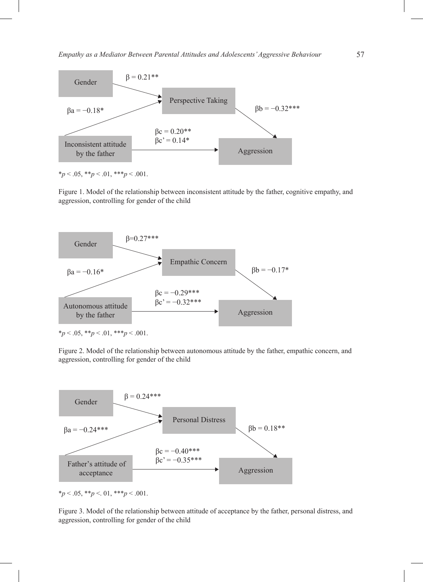

Figure 1. Model of the relationship between inconsistent attitude by the father, cognitive empathy, and aggression, controlling for gender of the child \*p < .05, \*\*p < .01, \*\*\*p < .001 *Figure 2. Model of the relationship between an autonomous attitude by the father, empathic concern, and aggression, controlling for gender of the child.*



Figure 2. Model of the relationship between autonomous attitude by the father, empathic concern, and aggression, controlling for gender of the child *Figure 3. Model of the relationship between an attitude of acceptance by the father, personal distress, and aggression,* 



 $*_{p}$  < .05, \*\**p* < .01, \*\*\**p* < .001.

 $\mathbf{C}^{\bullet}$  .  $\mathbf{C}^{\bullet}$  ,  $\mathbf{C}^{\bullet}$  ,  $\mathbf{C}^{\bullet}$ aggression, controlling for gender of the child Figure 3. Model of the relationship between attitude of acceptance by the father, personal distress, and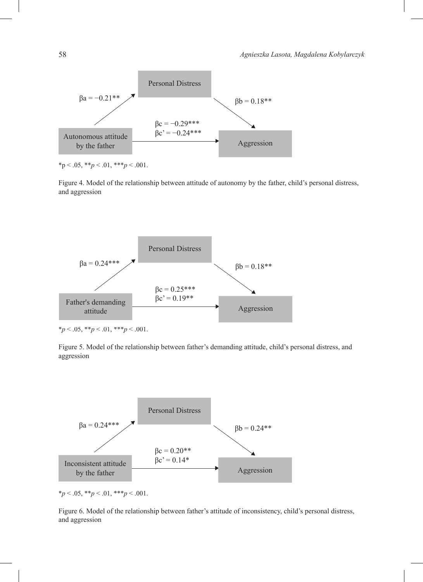

 $*p < .05, **p < .01, ***p < .001.$  $\mathbf{r} = \mathbf{r} \cdot \mathbf{r}$ 

Figure 4. Model of the relationship between attitude of autonomy by the father, child's personal distress, and aggression *Figure 5. Model of the relationship between a father's demanding attitude, a child's personal distress, and aggression. Figure 5. Model of the relationship between a father's demanding attitude, a child's personal distress, and aggression.*



 $*p < .05, **p < .01, **p < .001.$ 

Figure 5. Model of the relationship between father's demanding attitude, child's personal distress, and aggression



 $*p < .05, **p < .01, **p < .001.$ 

Figure 6. Model of the relationship between father's attitude of inconsistency, child's personal distress, and aggression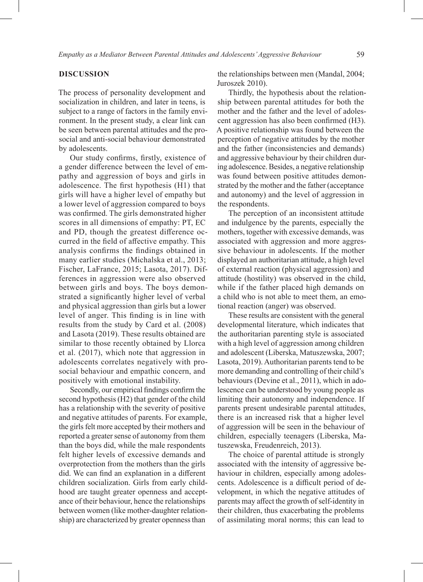## **DISCUSSION**

The process of personality development and socialization in children, and later in teens, is subject to a range of factors in the family environment. In the present study, a clear link can be seen between parental attitudes and the prosocial and anti-social behaviour demonstrated by adolescents.

Our study confirms, firstly, existence of a gender difference between the level of empathy and aggression of boys and girls in adolescence. The first hypothesis (H1) that girls will have a higher level of empathy but a lower level of aggression compared to boys was confirmed. The girls demonstrated higher scores in all dimensions of empathy: PT, EC and PD, though the greatest difference occurred in the field of affective empathy. This analysis confirms the findings obtained in many earlier studies (Michalska et al., 2013; Fischer, LaFrance, 2015; Lasota, 2017). Differences in aggression were also observed between girls and boys. The boys demonstrated a significantly higher level of verbal and physical aggression than girls but a lower level of anger. This finding is in line with results from the study by Card et al. (2008) and Lasota (2019). These results obtained are similar to those recently obtained by Llorca et al. (2017), which note that aggression in adolescents correlates negatively with prosocial behaviour and empathic concern, and positively with emotional instability.

Secondly, our empirical findings confirm the second hypothesis (H2) that gender of the child has a relationship with the severity of positive and negative attitudes of parents. For example, the girls felt more accepted by their mothers and reported a greater sense of autonomy from them than the boys did, while the male respondents felt higher levels of excessive demands and overprotection from the mothers than the girls did. We can find an explanation in a different children socialization. Girls from early childhood are taught greater openness and acceptance of their behaviour, hence the relationships between women (like mother-daughter relationship) are characterized by greater openness than

the relationships between men (Mandal, 2004; Juroszek 2010).

Thirdly, the hypothesis about the relationship between parental attitudes for both the mother and the father and the level of adolescent aggression has also been confirmed (H3). A positive relationship was found between the perception of negative attitudes by the mother and the father (inconsistencies and demands) and aggressive behaviour by their children during adolescence. Besides, a negative relationship was found between positive attitudes demonstrated by the mother and the father (acceptance and autonomy) and the level of aggression in the respondents.

The perception of an inconsistent attitude and indulgence by the parents, especially the mothers, together with excessive demands, was associated with aggression and more aggressive behaviour in adolescents. If the mother displayed an authoritarian attitude, a high level of external reaction (physical aggression) and attitude (hostility) was observed in the child, while if the father placed high demands on a child who is not able to meet them, an emotional reaction (anger) was observed.

These results are consistent with the general developmental literature, which indicates that the authoritarian parenting style is associated with a high level of aggression among children and adolescent (Liberska, Matuszewska, 2007; Lasota, 2019). Authoritarian parents tend to be more demanding and controlling of their child's behaviours (Devine et al., 2011), which in adolescence can be understood by young people as limiting their autonomy and independence. If parents present undesirable parental attitudes, there is an increased risk that a higher level of aggression will be seen in the behaviour of children, especially teenagers (Liberska, Matuszewska, Freudenreich, 2013).

The choice of parental attitude is strongly associated with the intensity of aggressive behaviour in children, especially among adolescents. Adolescence is a difficult period of development, in which the negative attitudes of parents may affect the growth of self-identity in their children, thus exacerbating the problems of assimilating moral norms; this can lead to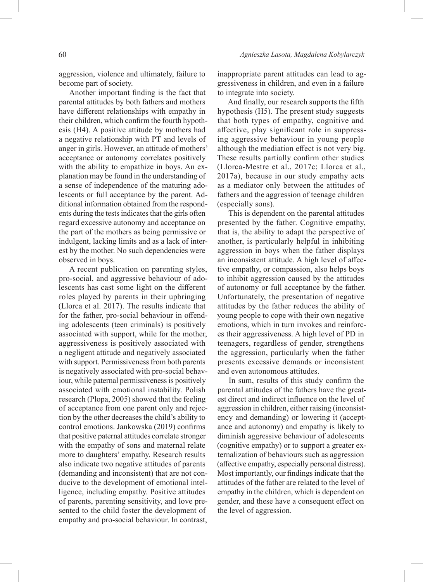aggression, violence and ultimately, failure to become part of society.

Another important finding is the fact that parental attitudes by both fathers and mothers have different relationships with empathy in their children, which confirm the fourth hypothesis (H4). A positive attitude by mothers had a negative relationship with PT and levels of anger in girls. However, an attitude of mothers' acceptance or autonomy correlates positively with the ability to empathize in boys. An explanation may be found in the understanding of a sense of independence of the maturing adolescents or full acceptance by the parent. Additional information obtained from the respondents during the tests indicates that the girls often regard excessive autonomy and acceptance on the part of the mothers as being permissive or indulgent, lacking limits and as a lack of interest by the mother. No such dependencies were observed in boys.

A recent publication on parenting styles, pro-social, and aggressive behaviour of adolescents has cast some light on the different roles played by parents in their upbringing (Llorca et al. 2017). The results indicate that for the father, pro-social behaviour in offending adolescents (teen criminals) is positively associated with support, while for the mother, aggressiveness is positively associated with a negligent attitude and negatively associated with support. Permissiveness from both parents is negatively associated with pro-social behaviour, while paternal permissiveness is positively associated with emotional instability. Polish research (Plopa, 2005) showed that the feeling of acceptance from one parent only and rejection by the other decreases the child's ability to control emotions. Jankowska (2019) confirms that positive paternal attitudes correlate stronger with the empathy of sons and maternal relate more to daughters' empathy. Research results also indicate two negative attitudes of parents (demanding and inconsistent) that are not conducive to the development of emotional intelligence, including empathy. Positive attitudes of parents, parenting sensitivity, and love presented to the child foster the development of empathy and pro-social behaviour. In contrast, inappropriate parent attitudes can lead to aggressiveness in children, and even in a failure to integrate into society.

And finally, our research supports the fifth hypothesis (H5). The present study suggests that both types of empathy, cognitive and affective, play significant role in suppressing aggressive behaviour in young people although the mediation effect is not very big. These results partially confirm other studies (Llorca-Mestre et al., 2017c; Llorca et al., 2017a), because in our study empathy acts as a mediator only between the attitudes of fathers and the aggression of teenage children (especially sons).

This is dependent on the parental attitudes presented by the father. Cognitive empathy, that is, the ability to adapt the perspective of another, is particularly helpful in inhibiting aggression in boys when the father displays an inconsistent attitude. A high level of affective empathy, or compassion, also helps boys to inhibit aggression caused by the attitudes of autonomy or full acceptance by the father. Unfortunately, the presentation of negative attitudes by the father reduces the ability of young people to cope with their own negative emotions, which in turn invokes and reinforces their aggressiveness. A high level of PD in teenagers, regardless of gender, strengthens the aggression, particularly when the father presents excessive demands or inconsistent and even autonomous attitudes.

In sum, results of this study confirm the parental attitudes of the fathers have the greatest direct and indirect influence on the level of aggression in children, either raising (inconsistency and demanding) or lowering it (acceptance and autonomy) and empathy is likely to diminish aggressive behaviour of adolescents (cognitive empathy) or to support a greater externalization of behaviours such as aggression (affective empathy, especially personal distress). Most importantly, our findings indicate that the attitudes of the father are related to the level of empathy in the children, which is dependent on gender, and these have a consequent effect on the level of aggression.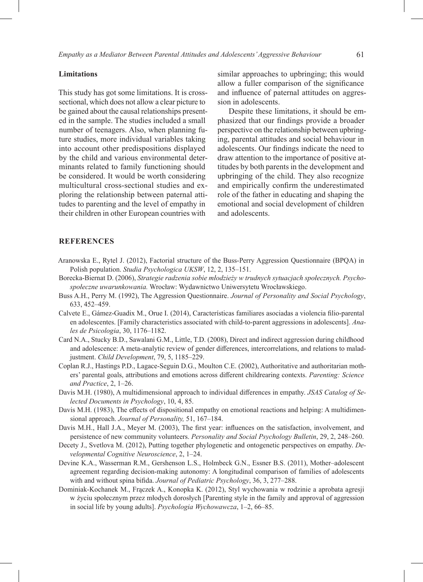#### **Limitations**

This study has got some limitations. It is crosssectional, which does not allow a clear picture to be gained about the causal relationships presented in the sample. The studies included a small number of teenagers. Also, when planning future studies, more individual variables taking into account other predispositions displayed by the child and various environmental determinants related to family functioning should be considered. It would be worth considering multicultural cross-sectional studies and exploring the relationship between paternal attitudes to parenting and the level of empathy in their children in other European countries with

similar approaches to upbringing; this would allow a fuller comparison of the significance and influence of paternal attitudes on aggression in adolescents.

Despite these limitations, it should be emphasized that our findings provide a broader perspective on the relationship between upbringing, parental attitudes and social behaviour in adolescents. Our findings indicate the need to draw attention to the importance of positive attitudes by both parents in the development and upbringing of the child. They also recognize and empirically confirm the underestimated role of the father in educating and shaping the emotional and social development of children and adolescents.

## **REFERENCES**

- Aranowska E., Rytel J. (2012), Factorial structure of the Buss-Perry Aggression Questionnaire (BPQA) in Polish population. *Studia Psychologica UKSW*, 12, 2, 135–151.
- Borecka-Biernat D. (2006), *Strategie radzenia sobie młodzieży w trudnych sytuacjach społecznych. Psychospołeczne uwarunkowania.* Wrocław: Wydawnictwo Uniwersytetu Wrocławskiego.
- Buss A.H., Perry M. (1992), The Aggression Questionnaire. *Journal of Personality and Social Psychology*, 633, 452–459.
- Calvete E., Gámez-Guadix M., Orue I. (2014), Características familiares asociadas a violencia filio-parental en adolescentes. [Family characteristics associated with child-to-parent aggressions in adolescents]. *Anales de Psicologia*, 30, 1176–1182.
- Card N.A., Stucky B.D., Sawalani G.M., Little, T.D. (2008), Direct and indirect aggression during childhood and adolescence: A meta-analytic review of gender differences, intercorrelations, and relations to maladjustment. *Child Development*, 79, 5, 1185–229.
- Coplan R.J., Hastings P.D., Lagace-Seguin D.G., Moulton C.E. (2002), Authoritative and authoritarian mothers' parental goals, attributions and emotions across different childrearing contexts. *Parenting: Science and Practice*, 2, 1–26.
- Davis M.H. (1980), A multidimensional approach to individual differences in empathy. *JSAS Catalog of Selected Documents in Psychology*, 10, 4, 85.
- Davis M.H. (1983), The effects of dispositional empathy on emotional reactions and helping: A multidimensional approach. *Journal of Personality,* 51, 167–184.
- Davis M.H., Hall J.A., Meyer M. (2003), The first year: influences on the satisfaction, involvement, and persistence of new community volunteers. *Personality and Social Psychology Bulletin*, 29, 2, 248–260.
- Decety J., Svetlova M. (2012), Putting together phylogenetic and ontogenetic perspectives on empathy. *Developmental Cognitive Neuroscience*, 2, 1–24.
- Devine K.A., Wasserman R.M., Gershenson L.S., Holmbeck G.N., Essner B.S. (2011), Mother–adolescent agreement regarding decision-making autonomy: A longitudinal comparison of families of adolescents with and without spina bifida. *Journal of Pediatric Psychology*, 36, 3, 277–288.
- Dominiak-Kochanek M., Frączek A., Konopka K. (2012), Styl wychowania w rodzinie a aprobata agresji w życiu społecznym przez młodych dorosłych [Parenting style in the family and approval of aggression in social life by young adults]. *Psychologia Wychowawcza*, 1–2, 66–85.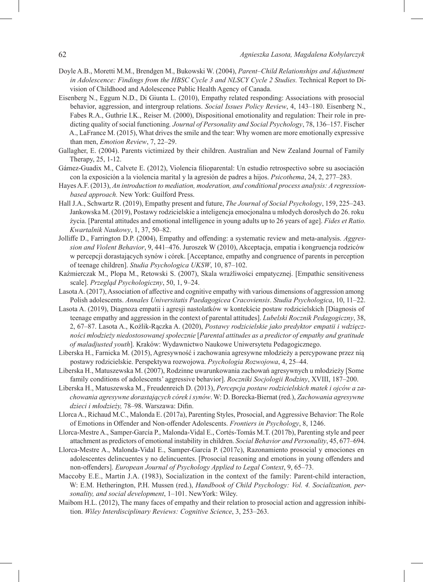- Doyle A.B., Moretti M.M., Brendgen M., Bukowski W. (2004), *Parent–Child Relationships and Adjustment in Adolescence: Findings from the HBSC Cycle 3 and NLSCY Cycle 2 Studies.* Technical Report to Division of Childhood and Adolescence Public Health Agency of Canada.
- Eisenberg N., Eggum N.D., Di Giunta L. (2010), Empathy related responding: Associations with prosocial behavior, aggression, and intergroup relations. *Social Issues Policy Review*, 4, 143–180. Eisenberg N., Fabes R.A., Guthrie I.K., Reiser M. (2000), Dispositional emotionality and regulation: Their role in predicting quality of social functioning*. Journal of Personality and Social Psychology*, 78, 136–157. Fischer A., LaFrance M. (2015), What drives the smile and the tear: Why women are more emotionally expressive than men, *Emotion Review*, 7, 22–29.
- Gallagher, E. (2004). Parents victimized by their children. Australian and New Zealand Journal of Family Therapy, 25, 1-12.
- Gámez-Guadix M., Calvete E. (2012), Violencia filioparental: Un estudio retrospectivo sobre su asociación con la exposición a la violencia marital y la agresión de padres a hijos. *Psicothema*, 24, 2, 277–283.
- Hayes A.F. (2013), *An introduction to mediation, moderation, and conditional process analysis: A regressionbased approach.* New York: Guilford Press.
- Hall J.A., Schwartz R. (2019), Empathy present and future, *The Journal of Social Psychology*, 159, 225–243. Jankowska M. (2019), Postawy rodzicielskie a inteligencja emocjonalna u młodych dorosłych do 26. roku życia. [Parental attitudes and emotional intelligence in young adults up to 26 years of age]. *Fides et Ratio. Kwartalnik Naukowy*, 1, 37, 50–82.
- Jolliffe D., Farrington D.P. (2004), Empathy and offending: a systematic review and meta-analysis. *Aggression and Violent Behavior*, 9, 441–476. Juroszek W (2010), Akceptacja, empatia i kongruencja rodziców w percepcji dorastających synów i córek. [Acceptance, empathy and congruence of parents in perception of teenage children]. *Studia Psychologica UKSW*, 10, 87–102.
- Kaźmierczak M., Plopa M., Retowski S. (2007), Skala wrażliwości empatycznej. [Empathic sensitiveness scale]. *Przegląd Psychologiczny*, 50, 1, 9–24.
- Lasota A. (2017), Association of affective and cognitive empathy with various dimensions of aggression among Polish adolescents. *Annales Universitatis Paedagogicea Cracoviensis*. *Studia Psychologica*, 10, 11–22.
- Lasota A. (2019), Diagnoza empatii i agresji nastolatków w kontekście postaw rodzicielskich [Diagnosis of teenage empathy and aggression in the context of parental attitudes]. *Lubelski Rocznik Pedagogiczny*, 38, 2, 67–87. Lasota A., Koźlik-Rączka A. (2020), *Postawy rodzicielskie jako predyktor empatii i wdzięczności młodzieży niedostosowanej społecznie* [*Parental attitudes as a predictor of empathy and gratitude of maladjusted youth*]. Kraków: Wydawnictwo Naukowe Uniwersytetu Pedagogicznego.
- Liberska H., Farnicka M. (2015), Agresywność i zachowania agresywne młodzieży a percypowane przez nią postawy rodzicielskie. Perspektywa rozwojowa. *Psychologia Rozwojowa*, 4, 25–44.
- Liberska H., Matuszewska M. (2007), Rodzinne uwarunkowania zachowań agresywnych u młodzieży [Some family conditions of adolescents' aggressive behavior]. *Roczniki Socjologii Rodziny*, XVIII, 187–200.
- Liberska H., Matuszewska M., Freudenreich D. (2013), *Percepcja postaw rodzicielskich matek i ojców a zachowania agresywne dorastających córek i synów*. W: D. Borecka-Biernat (red.), *Zachowania agresywne dzieci i młodzieży,* 78–98. Warszawa: Difin.
- Llorca A., Richaud M.C., Malonda E. (2017a), Parenting Styles, Prosocial, and Aggressive Behavior: The Role of Emotions in Offender and Non-offender Adolescents. *Frontiers in Psychology*, 8, 1246.
- Llorca-Mestre A., Samper-García P., Malonda-Vidal E., Cortés-Tomás M.T. (2017b), Parenting style and peer attachment as predictors of emotional instability in children. *Social Behavior and Personality*, 45, 677–694.
- Llorca-Mestre A., Malonda-Vidal E., Samper-García P. (2017c), Razonamiento prosocial y emociones en adolescentes delincuentes y no delincuentes. [Prosocial reasoning and emotions in young offenders and non-offenders]. *European Journal of Psychology Applied to Legal Context*, 9, 65–73.
- Maccoby E.E., Martin J.A. (1983), Socialization in the context of the family: Parent-child interaction, W: E.M. Hetherington, P.H. Mussen (red.), *Handbook of Child Psychology: Vol. 4. Socialization, personality, and social development*, 1–101. NewYork: Wiley.
- Maibom H.L. (2012), The many faces of empathy and their relation to prosocial action and aggression inhibition. *Wiley Interdisciplinary Reviews: Cognitive Science*, 3, 253–263.